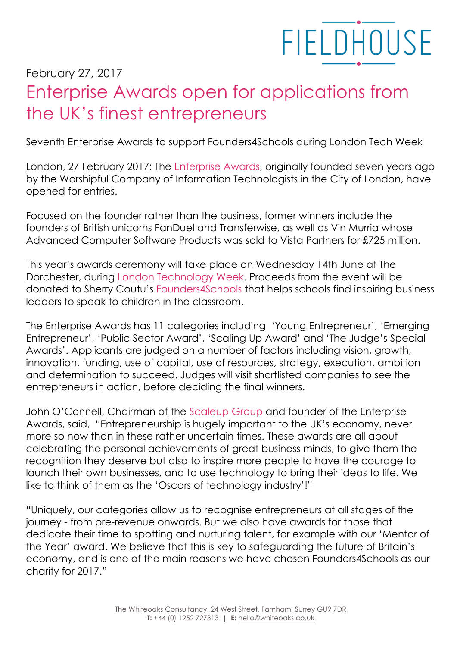## **FIELDHOUSE**

## February 27, 2017 Enterprise Awards open for applications from the UK's finest entrepreneurs

Seventh Enterprise Awards to support Founders4Schools during London Tech Week

London, 27 February 2017: The Enterprise Awards, originally founded seven years ago by the Worshipful Company of Information Technologists in the City of London, have opened for entries.

Focused on the founder rather than the business, former winners include the founders of British unicorns FanDuel and Transferwise, as well as Vin Murria whose Advanced Computer Software Products was sold to Vista Partners for £725 million.

This year's awards ceremony will take place on Wednesday 14th June at The Dorchester, during London Technology Week. Proceeds from the event will be donated to Sherry Coutu's Founders4Schools that helps schools find inspiring business leaders to speak to children in the classroom.

The Enterprise Awards has 11 categories including 'Young Entrepreneur', 'Emerging Entrepreneur', 'Public Sector Award', 'Scaling Up Award' and 'The Judge's Special Awards'. Applicants are judged on a number of factors including vision, growth, innovation, funding, use of capital, use of resources, strategy, execution, ambition and determination to succeed. Judges will visit shortlisted companies to see the entrepreneurs in action, before deciding the final winners.

John O'Connell, Chairman of the Scaleup Group and founder of the Enterprise Awards, said, "Entrepreneurship is hugely important to the UK's economy, never more so now than in these rather uncertain times. These awards are all about celebrating the personal achievements of great business minds, to give them the recognition they deserve but also to inspire more people to have the courage to launch their own businesses, and to use technology to bring their ideas to life. We like to think of them as the 'Oscars of technology industry'!"

"Uniquely, our categories allow us to recognise entrepreneurs at all stages of the journey - from pre-revenue onwards. But we also have awards for those that dedicate their time to spotting and nurturing talent, for example with our 'Mentor of the Year' award. We believe that this is key to safeguarding the future of Britain's economy, and is one of the main reasons we have chosen Founders4Schools as our charity for 2017."